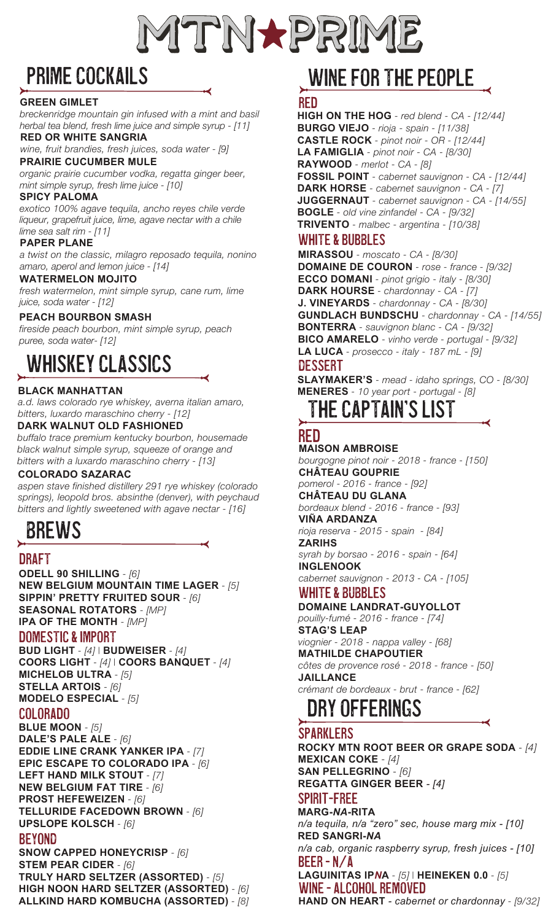

### PRIME COCKAILS

#### **GREEN GIMLET**

*breckenridge mountain gin infused with a mint and basil herbal tea blend, fresh lime juice and simple syrup - [11]*  **RED OR WHITE SANGRIA**

*wine, fruit brandies, fresh juices, soda water - [9]* 

#### **PRAIRIE CUCUMBER MULE**

*organic prairie cucumber vodka, regatta ginger beer, mint simple syrup, fresh lime juice - [10]* 

#### **SPICY PALOMA**

*exotico 100% agave tequila, ancho reyes chile verde liqueur, grapefruit juice, lime, agave nectar with a chile lime sea salt rim - [11]* 

#### **PAPER PLANE**

*a twist on the classic, milagro reposado tequila, nonino amaro, aperol and lemon juice - [14]* 

#### **WATERMELON MOJITO**

*fresh watermelon, mint simple syrup, cane rum, lime juice, soda water - [12]* 

#### **PEACH BOURBON SMASH**

*fireside peach bourbon, mint simple syrup, peach puree, soda water- [12]* 

### WHISKEY CLASsICS

#### **BLACK MANHATTAN**

*a.d. laws colorado rye whiskey, averna italian amaro, bitters, luxardo maraschino cherry - [12]*

#### **DARK WALNUT OLD FASHIONED**

*buffalo trace premium kentucky bourbon, housemade black walnut simple syrup, squeeze of orange and bitters with a luxardo maraschino cherry - [13]*

#### **COLORADO SAZARAC**

*aspen stave finished distillery 291 rye whiskey (colorado springs), leopold bros. absinthe (denver), with peychaud bitters and lightly sweetened with agave nectar - [16]*

BREWS

#### DRAFT

**ODELL 90 SHILLING** *- [6]* **NEW BELGIUM MOUNTAIN TIME LAGER** *- [5]* **SIPPIN' PRETTY FRUITED SOUR** *- [6]* **SEASONAL ROTATORS** *- [MP]* **IPA OF THE MONTH** *- [MP]*

#### DOMESTIC & IMPORT

**BUD LIGHT** *- [4] |* **BUDWEISER** *- [4]*  **COORS LIGHT** *- [4] |* **COORS BANQUET** *- [4]* **MICHELOB ULTRA** *- [5]* **STELLA ARTOIS** *- [6]* **MODELO ESPECIAL** *- [5]*

#### COLORADO

**BLUE MOON** *- [5]* **DALE'S PALE ALE** *- [6]* **EDDIE LINE CRANK YANKER IPA** *- [7]* **EPIC ESCAPE TO COLORADO IPA** *- [6]* **LEFT HAND MILK STOUT** *- [7]* **NEW BELGIUM FAT TIRE** *- [6]* **PROST HEFEWEIZEN** *- [6]* **TELLURIDE FACEDOWN BROWN** *- [6]* **UPSLOPE KOLSCH** *- [6]*

#### beyond

**SNOW CAPPED HONEYCRISP** *- [6]* **STEM PEAR CIDER** *- [6]* **TRULY HARD SELTZER (ASSORTED)** *- [5]* **HIGH NOON HARD SELTZER (ASSORTED)** *- [6]* **ALLKIND HARD KOMBUCHA (ASSORTED)** *- [8]*

### WINE FOR THE PEOPLE

#### RED

**HIGH ON THE HOG** *- red blend - CA - [12/44]* **BURGO VIEJO** *- rioja - spain - [11/38]* **CASTLE ROCK** *- pinot noir - OR - [12/44]* **LA FAMIGLIA** *- pinot noir - CA - [8/30]* **RAYWOOD** *- merlot - CA - [8]* **FOSSIL POINT** *- cabernet sauvignon - CA - [12/44]* **DARK HORSE** *- cabernet sauvignon - CA - [7]* **JUGGERNAUT** *- cabernet sauvignon - CA - [14/55]* **BOGLE** *- old vine zinfandel - CA - [9/32]* **TRIVENTO** *- malbec - argentina - [10/38]*

#### WHITE & bubBles

**MIRASSOU** *- moscato - CA - [8/30]* **DOMAINE DE COURON** *- rose - france - [9/32]* **ECCO DOMANI** *- pinot grigio - italy - [8/30]* **DARK HOURSE** *- chardonnay - CA - [7]* **J. VINEYARDS** *- chardonnay - CA - [8/30]* **GUNDLACH BUNDSCHU** *- chardonnay - CA - [14/55]* **BONTERRA** *- sauvignon blanc - CA - [9/32]* **BICO AMARELO** *- vinho verde - portugal - [9/32]* **LA LUCA** *- prosecco - italy - 187 mL - [9]*

#### **DESSERT**

**SLAYMAKER'S** *- mead - idaho springs, CO - [8/30]* **MENERES** *- 10 year port - portugal - [8]*

### THE CAPTAIN'S LIST

#### RED

**MAISON AMBROISE**

*bourgogne pinot noir - 2018 - france - [150]* **CHÂTEAU GOUPRIE** *pomerol - 2016 - france - [92]* **CHÂTEAU DU GLANA** *bordeaux blend - 2016 - france - [93]*

**VIÑA ARDANZA** *rioja reserva - 2015 - spain - [84]*

#### **ZARIHS**

*syrah by borsao - 2016 - spain - [64]* **INGLENOOK**

*cabernet sauvignon - 2013 - CA - [105]*

#### WHITE & BUBbLES

**DOMAINE LANDRAT-GUYOLLOT** *pouilly-fumé - 2016 - france - [74]* **STAG'S LEAP**

*viognier - 2018 - nappa valley - [68]* **MATHILDE CHAPOUTIER**  *côtes de provence rosé - 2018 - france - [50]* **JAILLANCE** *crémant de bordeaux - brut - france - [62]*

### DRY OFfERINGS

#### SPARKLERS

**ROCKY MTN ROOT BEER OR GRAPE SODA** *- [4]* **MEXICAN COKE** *- [4]* **SAN PELLEGRINO** *- [6]* **REGATTA GINGER BEER** *- [4]*

#### spirit-freE

**MARG-***NA***-RITA** *n/a tequila, n/a "zero" sec, house marg mix - [10]* **RED SANGRI-***NA*

*n/a cab, organic raspberry syrup, fresh juices - [10]* beEr - N/A

**LAGUINITAS IP***N***A** *- [5] |* **HEINEKEN 0.0** *- [5]* wine - ALCOHOL REMOVED

**HAND ON HEART** *- cabernet or chardonnay - [9/32]*